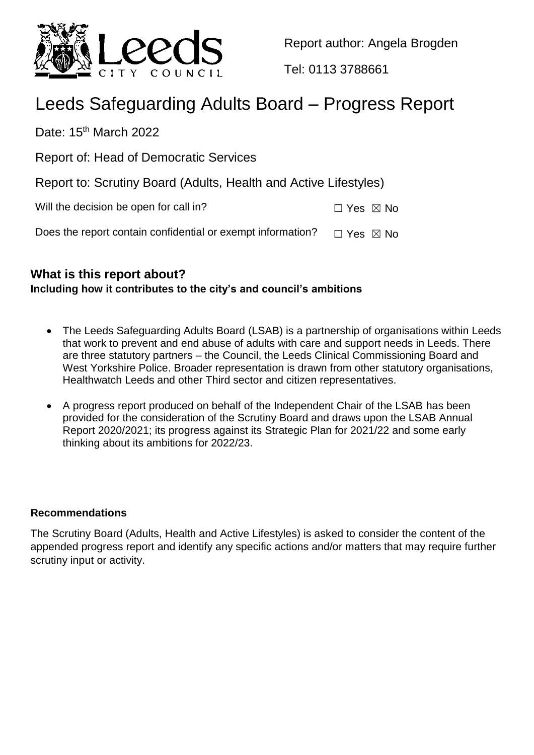

Report author: Angela Brogden

Tel: 0113 3788661

# Leeds Safeguarding Adults Board – Progress Report

Date: 15<sup>th</sup> March 2022

Report of: Head of Democratic Services

Report to: Scrutiny Board (Adults, Health and Active Lifestyles)

| Will the decision be open for call in? | $\Box$ Yes $\boxtimes$ No |
|----------------------------------------|---------------------------|
|----------------------------------------|---------------------------|

Does the report contain confidential or exempt information?  $\Box$  Yes  $\boxtimes$  No

## **What is this report about?**

## **Including how it contributes to the city's and council's ambitions**

- The Leeds Safeguarding Adults Board (LSAB) is a partnership of organisations within Leeds that work to prevent and end abuse of adults with care and support needs in Leeds. There are three statutory partners – the Council, the Leeds Clinical Commissioning Board and West Yorkshire Police. Broader representation is drawn from other statutory organisations, Healthwatch Leeds and other Third sector and citizen representatives.
- A progress report produced on behalf of the Independent Chair of the LSAB has been provided for the consideration of the Scrutiny Board and draws upon the LSAB Annual Report 2020/2021; its progress against its Strategic Plan for 2021/22 and some early thinking about its ambitions for 2022/23.

## **Recommendations**

The Scrutiny Board (Adults, Health and Active Lifestyles) is asked to consider the content of the appended progress report and identify any specific actions and/or matters that may require further scrutiny input or activity.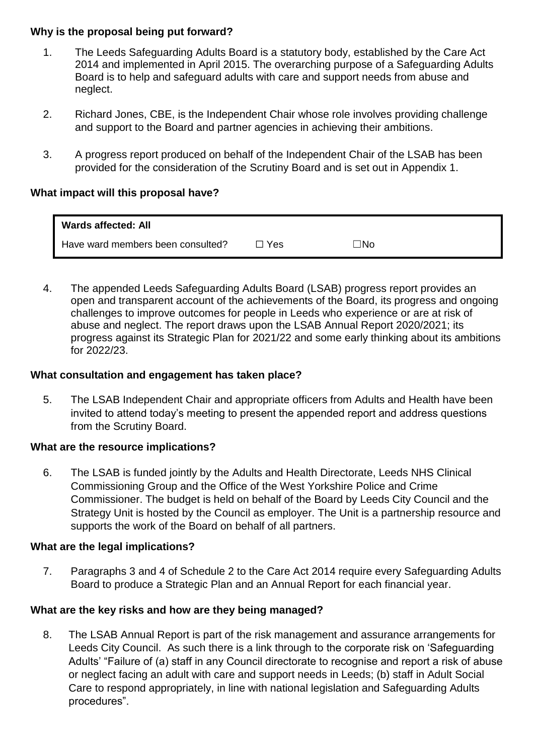## **Why is the proposal being put forward?**

- 1. The Leeds Safeguarding Adults Board is a statutory body, established by the Care Act 2014 and implemented in April 2015. The overarching purpose of a Safeguarding Adults Board is to help and safeguard adults with care and support needs from abuse and neglect.
- 2. Richard Jones, CBE, is the Independent Chair whose role involves providing challenge and support to the Board and partner agencies in achieving their ambitions.
- 3. A progress report produced on behalf of the Independent Chair of the LSAB has been provided for the consideration of the Scrutiny Board and is set out in Appendix 1.

#### **What impact will this proposal have?**

| <b>Wards affected: All</b>        |       |           |
|-----------------------------------|-------|-----------|
| Have ward members been consulted? | コ Yes | $\neg$ No |

4. The appended Leeds Safeguarding Adults Board (LSAB) progress report provides an open and transparent account of the achievements of the Board, its progress and ongoing challenges to improve outcomes for people in Leeds who experience or are at risk of abuse and neglect. The report draws upon the LSAB Annual Report 2020/2021; its progress against its Strategic Plan for 2021/22 and some early thinking about its ambitions for 2022/23.

#### **What consultation and engagement has taken place?**

5. The LSAB Independent Chair and appropriate officers from Adults and Health have been invited to attend today's meeting to present the appended report and address questions from the Scrutiny Board.

#### **What are the resource implications?**

6. The LSAB is funded jointly by the Adults and Health Directorate, Leeds NHS Clinical Commissioning Group and the Office of the West Yorkshire Police and Crime Commissioner. The budget is held on behalf of the Board by Leeds City Council and the Strategy Unit is hosted by the Council as employer. The Unit is a partnership resource and supports the work of the Board on behalf of all partners.

#### **What are the legal implications?**

7. Paragraphs 3 and 4 of Schedule 2 to the Care Act 2014 require every Safeguarding Adults Board to produce a Strategic Plan and an Annual Report for each financial year.

#### **What are the key risks and how are they being managed?**

8. The LSAB Annual Report is part of the risk management and assurance arrangements for Leeds City Council. As such there is a link through to the corporate risk on 'Safeguarding Adults' "Failure of (a) staff in any Council directorate to recognise and report a risk of abuse or neglect facing an adult with care and support needs in Leeds; (b) staff in Adult Social Care to respond appropriately, in line with national legislation and Safeguarding Adults procedures".